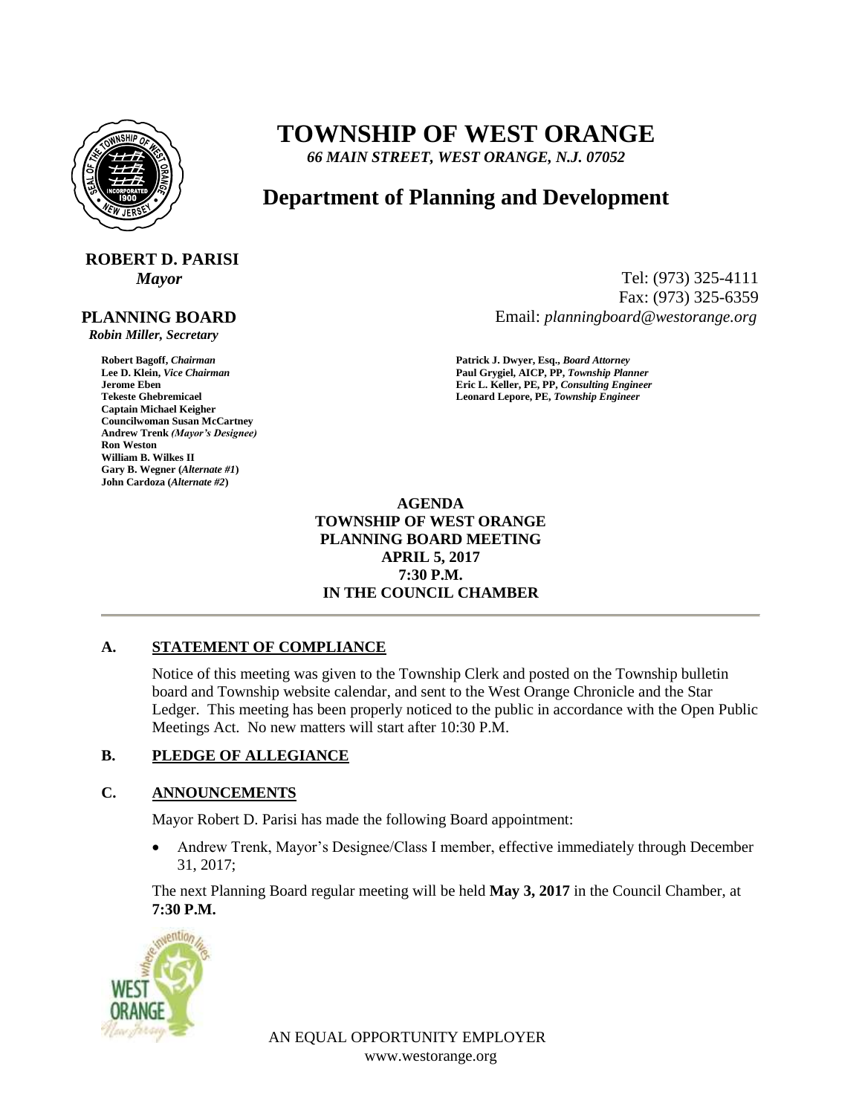

## **TOWNSHIP OF WEST ORANGE**

*66 MAIN STREET, WEST ORANGE, N.J. 07052*

## **Department of Planning and Development**

# **ROBERT D. PARISI**

### **PLANNING BOARD**

 *Robin Miller, Secretary*

**Captain Michael Keigher Councilwoman Susan McCartney Andrew Trenk** *(Mayor's Designee)* **Ron Weston William B. Wilkes II Gary B. Wegner (***Alternate #1***) John Cardoza (***Alternate #2***)**

*Mayor* Tel: (973) 325-4111 Fax: (973) 325-6359 Email: *planningboard@westorange.org*

**Robert Bagoff,** *Chairman* **<b>Patrick J. Dwyer, Esq.,** *Board Attorney* **Patrick J. Dwyer, Esq.,** *Board Attorney* **Paul Grygiel, AICP, PP,** *Township Plan* **Lee D. Klein,** *Vice Chairman* **Paul Grygiel, AICP, PP,** *Township Planner* **Jerome Eben Eric L. Keller, PE, PP,** *Consulting Engineer* **Tekeste Ghebremicael Leonard Lepore, PE,** *Township Engineer*

> **AGENDA TOWNSHIP OF WEST ORANGE PLANNING BOARD MEETING APRIL 5, 2017 7:30 P.M. IN THE COUNCIL CHAMBER**

#### **A. STATEMENT OF COMPLIANCE**

Notice of this meeting was given to the Township Clerk and posted on the Township bulletin board and Township website calendar, and sent to the West Orange Chronicle and the Star Ledger. This meeting has been properly noticed to the public in accordance with the Open Public Meetings Act. No new matters will start after 10:30 P.M.

#### **B. PLEDGE OF ALLEGIANCE**

#### **C. ANNOUNCEMENTS**

Mayor Robert D. Parisi has made the following Board appointment:

 Andrew Trenk, Mayor's Designee/Class I member, effective immediately through December 31, 2017;

The next Planning Board regular meeting will be held **May 3, 2017** in the Council Chamber, at **7:30 P.M.**



AN EQUAL OPPORTUNITY EMPLOYER www.westorange.org